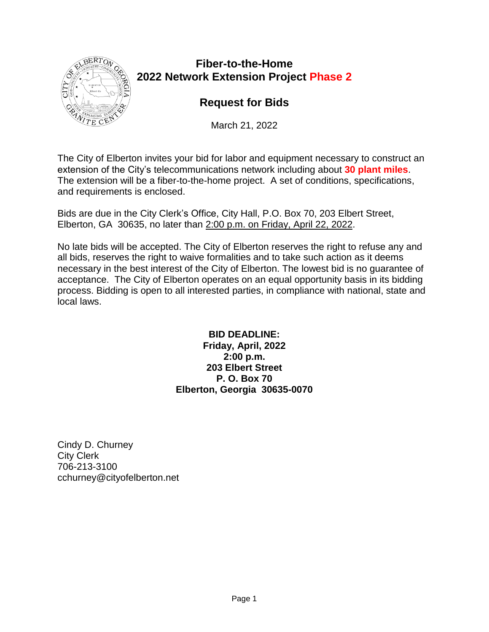

# **Fiber-to-the-Home 2022 Network Extension Project Phase 2**

# **Request for Bids**

March 21, 2022

The City of Elberton invites your bid for labor and equipment necessary to construct an extension of the City's telecommunications network including about **30 plant miles**. The extension will be a fiber-to-the-home project. A set of conditions, specifications, and requirements is enclosed.

Bids are due in the City Clerk's Office, City Hall, P.O. Box 70, 203 Elbert Street, Elberton, GA 30635, no later than 2:00 p.m. on Friday, April 22, 2022.

No late bids will be accepted. The City of Elberton reserves the right to refuse any and all bids, reserves the right to waive formalities and to take such action as it deems necessary in the best interest of the City of Elberton. The lowest bid is no guarantee of acceptance. The City of Elberton operates on an equal opportunity basis in its bidding process. Bidding is open to all interested parties, in compliance with national, state and local laws.

> **BID DEADLINE: Friday, April, 2022 2:00 p.m. 203 Elbert Street P. O. Box 70 Elberton, Georgia 30635-0070**

Cindy D. Churney City Clerk 706-213-3100 cchurney@cityofelberton.net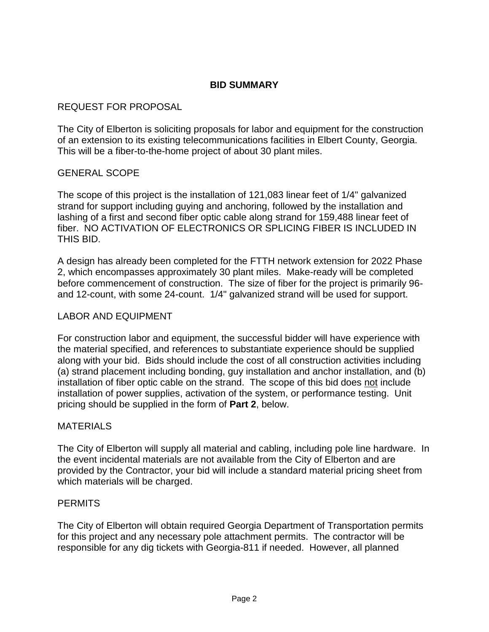# **BID SUMMARY**

#### REQUEST FOR PROPOSAL

The City of Elberton is soliciting proposals for labor and equipment for the construction of an extension to its existing telecommunications facilities in Elbert County, Georgia. This will be a fiber-to-the-home project of about 30 plant miles.

#### GENERAL SCOPE

The scope of this project is the installation of 121,083 linear feet of 1/4" galvanized strand for support including guying and anchoring, followed by the installation and lashing of a first and second fiber optic cable along strand for 159,488 linear feet of fiber. NO ACTIVATION OF ELECTRONICS OR SPLICING FIBER IS INCLUDED IN THIS BID.

A design has already been completed for the FTTH network extension for 2022 Phase 2, which encompasses approximately 30 plant miles. Make-ready will be completed before commencement of construction. The size of fiber for the project is primarily 96 and 12-count, with some 24-count. 1/4" galvanized strand will be used for support.

#### LABOR AND EQUIPMENT

For construction labor and equipment, the successful bidder will have experience with the material specified, and references to substantiate experience should be supplied along with your bid. Bids should include the cost of all construction activities including (a) strand placement including bonding, guy installation and anchor installation, and (b) installation of fiber optic cable on the strand. The scope of this bid does not include installation of power supplies, activation of the system, or performance testing. Unit pricing should be supplied in the form of **Part 2**, below.

#### MATERIALS

The City of Elberton will supply all material and cabling, including pole line hardware. In the event incidental materials are not available from the City of Elberton and are provided by the Contractor, your bid will include a standard material pricing sheet from which materials will be charged.

#### **PERMITS**

The City of Elberton will obtain required Georgia Department of Transportation permits for this project and any necessary pole attachment permits. The contractor will be responsible for any dig tickets with Georgia-811 if needed. However, all planned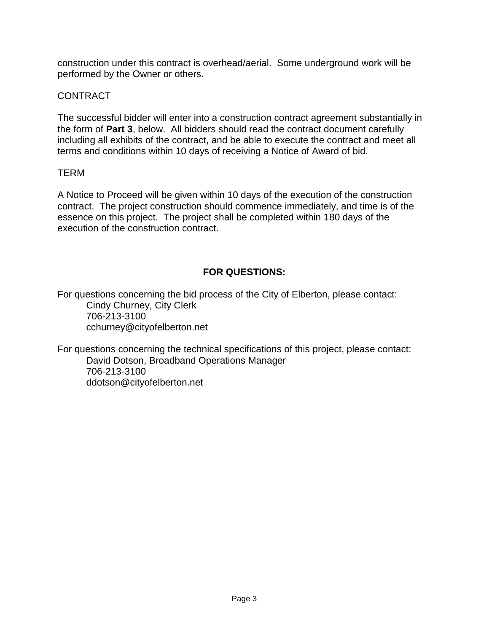construction under this contract is overhead/aerial. Some underground work will be performed by the Owner or others.

# CONTRACT

The successful bidder will enter into a construction contract agreement substantially in the form of **Part 3**, below. All bidders should read the contract document carefully including all exhibits of the contract, and be able to execute the contract and meet all terms and conditions within 10 days of receiving a Notice of Award of bid.

# TERM

A Notice to Proceed will be given within 10 days of the execution of the construction contract. The project construction should commence immediately, and time is of the essence on this project. The project shall be completed within 180 days of the execution of the construction contract.

# **FOR QUESTIONS:**

For questions concerning the bid process of the City of Elberton, please contact: Cindy Churney, City Clerk 706-213-3100 cchurney@cityofelberton.net

For questions concerning the technical specifications of this project, please contact: David Dotson, Broadband Operations Manager 706-213-3100 ddotson@cityofelberton.net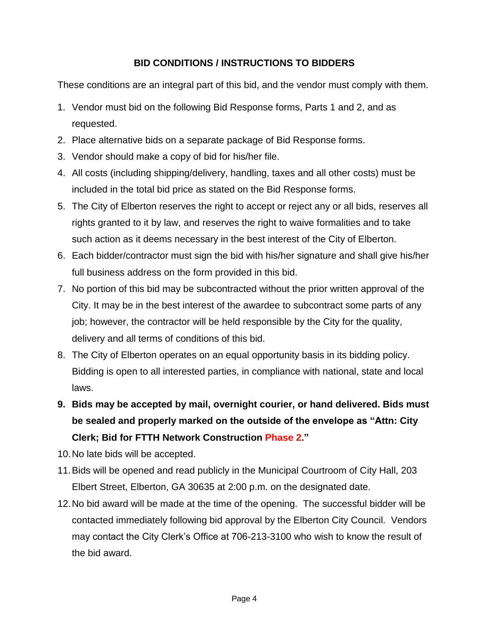# **BID CONDITIONS / INSTRUCTIONS TO BIDDERS**

These conditions are an integral part of this bid, and the vendor must comply with them.

- 1. Vendor must bid on the following Bid Response forms, Parts 1 and 2, and as requested.
- 2. Place alternative bids on a separate package of Bid Response forms.
- 3. Vendor should make a copy of bid for his/her file.
- 4. All costs (including shipping/delivery, handling, taxes and all other costs) must be included in the total bid price as stated on the Bid Response forms.
- 5. The City of Elberton reserves the right to accept or reject any or all bids, reserves all rights granted to it by law, and reserves the right to waive formalities and to take such action as it deems necessary in the best interest of the City of Elberton.
- 6. Each bidder/contractor must sign the bid with his/her signature and shall give his/her full business address on the form provided in this bid.
- 7. No portion of this bid may be subcontracted without the prior written approval of the City. It may be in the best interest of the awardee to subcontract some parts of any job; however, the contractor will be held responsible by the City for the quality, delivery and all terms of conditions of this bid.
- 8. The City of Elberton operates on an equal opportunity basis in its bidding policy. Bidding is open to all interested parties, in compliance with national, state and local laws.
- **9. Bids may be accepted by mail, overnight courier, or hand delivered. Bids must be sealed and properly marked on the outside of the envelope as "Attn: City Clerk; Bid for FTTH Network Construction Phase 2."**
- 10.No late bids will be accepted.
- 11.Bids will be opened and read publicly in the Municipal Courtroom of City Hall, 203 Elbert Street, Elberton, GA 30635 at 2:00 p.m. on the designated date.
- 12.No bid award will be made at the time of the opening. The successful bidder will be contacted immediately following bid approval by the Elberton City Council. Vendors may contact the City Clerk's Office at 706-213-3100 who wish to know the result of the bid award.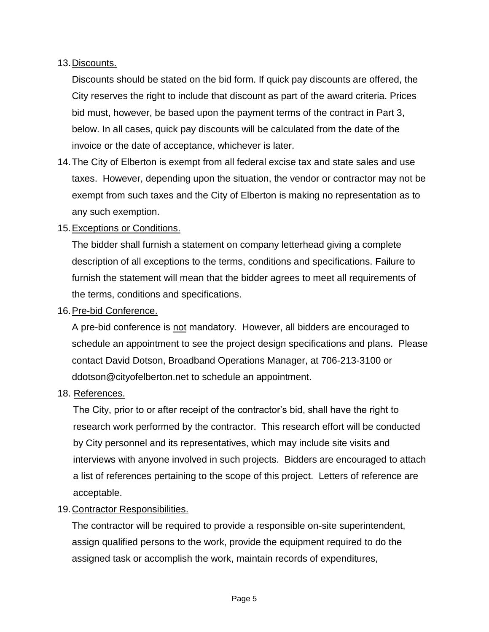# 13.Discounts.

Discounts should be stated on the bid form. If quick pay discounts are offered, the City reserves the right to include that discount as part of the award criteria. Prices bid must, however, be based upon the payment terms of the contract in Part 3, below. In all cases, quick pay discounts will be calculated from the date of the invoice or the date of acceptance, whichever is later.

14.The City of Elberton is exempt from all federal excise tax and state sales and use taxes. However, depending upon the situation, the vendor or contractor may not be exempt from such taxes and the City of Elberton is making no representation as to any such exemption.

# 15.Exceptions or Conditions.

The bidder shall furnish a statement on company letterhead giving a complete description of all exceptions to the terms, conditions and specifications. Failure to furnish the statement will mean that the bidder agrees to meet all requirements of the terms, conditions and specifications.

#### 16.Pre-bid Conference.

A pre-bid conference is not mandatory. However, all bidders are encouraged to schedule an appointment to see the project design specifications and plans. Please contact David Dotson, Broadband Operations Manager, at 706-213-3100 or ddotson@cityofelberton.net to schedule an appointment.

#### 18. References.

The City, prior to or after receipt of the contractor's bid, shall have the right to research work performed by the contractor. This research effort will be conducted by City personnel and its representatives, which may include site visits and interviews with anyone involved in such projects. Bidders are encouraged to attach a list of references pertaining to the scope of this project. Letters of reference are acceptable.

#### 19.Contractor Responsibilities.

The contractor will be required to provide a responsible on-site superintendent, assign qualified persons to the work, provide the equipment required to do the assigned task or accomplish the work, maintain records of expenditures,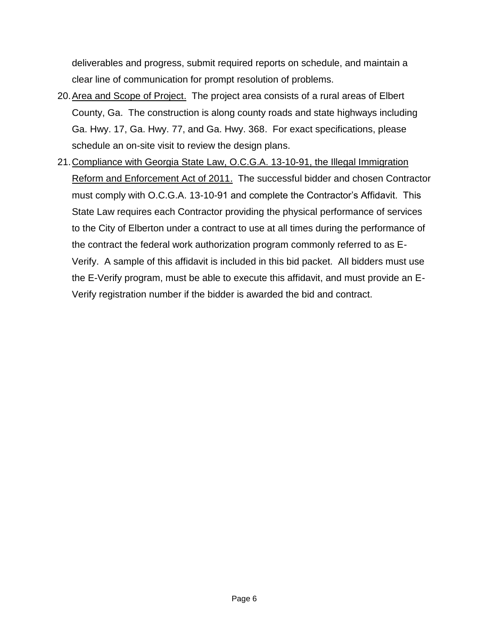deliverables and progress, submit required reports on schedule, and maintain a clear line of communication for prompt resolution of problems.

- 20.Area and Scope of Project. The project area consists of a rural areas of Elbert County, Ga. The construction is along county roads and state highways including Ga. Hwy. 17, Ga. Hwy. 77, and Ga. Hwy. 368. For exact specifications, please schedule an on-site visit to review the design plans.
- 21.Compliance with Georgia State Law, O.C.G.A. 13-10-91, the Illegal Immigration Reform and Enforcement Act of 2011. The successful bidder and chosen Contractor must comply with O.C.G.A. 13-10-91 and complete the Contractor's Affidavit. This State Law requires each Contractor providing the physical performance of services to the City of Elberton under a contract to use at all times during the performance of the contract the federal work authorization program commonly referred to as E-Verify. A sample of this affidavit is included in this bid packet. All bidders must use the E-Verify program, must be able to execute this affidavit, and must provide an E-Verify registration number if the bidder is awarded the bid and contract.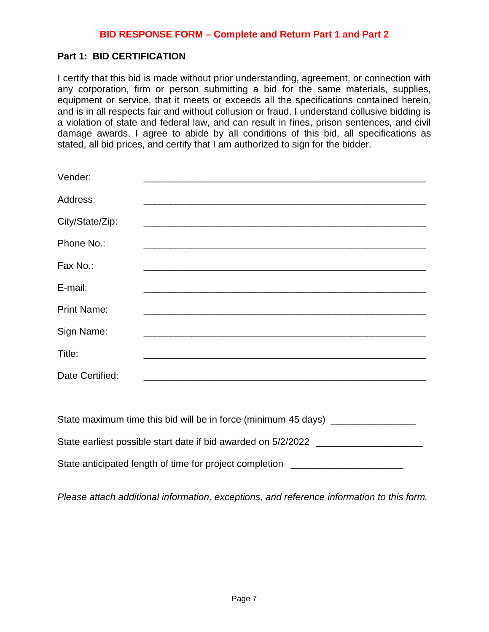## **Part 1: BID CERTIFICATION**

I certify that this bid is made without prior understanding, agreement, or connection with any corporation, firm or person submitting a bid for the same materials, supplies, equipment or service, that it meets or exceeds all the specifications contained herein, and is in all respects fair and without collusion or fraud. I understand collusive bidding is a violation of state and federal law, and can result in fines, prison sentences, and civil damage awards. I agree to abide by all conditions of this bid, all specifications as stated, all bid prices, and certify that I am authorized to sign for the bidder.

| Vender:            |                                                                                           |
|--------------------|-------------------------------------------------------------------------------------------|
| Address:           | the control of the control of the control of the control of the control of the control of |
| City/State/Zip:    |                                                                                           |
| Phone No.:         |                                                                                           |
| Fax No.:           |                                                                                           |
| E-mail:            |                                                                                           |
| <b>Print Name:</b> |                                                                                           |
| Sign Name:         |                                                                                           |
| Title:             |                                                                                           |
| Date Certified:    |                                                                                           |
|                    |                                                                                           |

| State maximum time this bid will be in force (minimum 45 days) |
|----------------------------------------------------------------|
| State earliest possible start date if bid awarded on 5/2/2022  |
| State anticipated length of time for project completion        |

*Please attach additional information, exceptions, and reference information to this form.*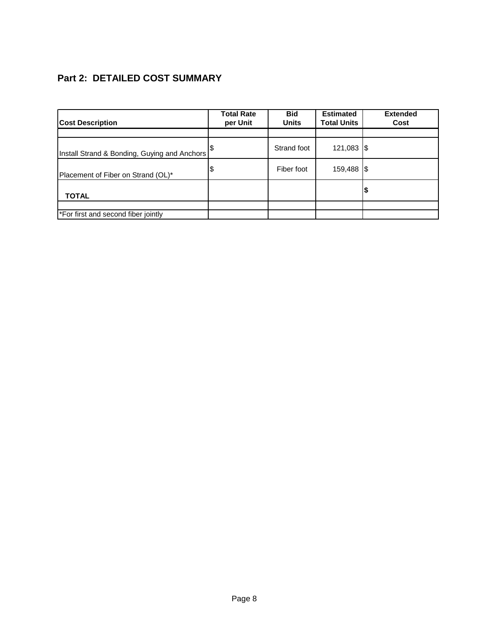# **Part 2: DETAILED COST SUMMARY**

| <b>Cost Description</b>                      | <b>Total Rate</b><br>per Unit | <b>Bid</b><br><b>Units</b> | <b>Estimated</b><br><b>Total Units</b> | <b>Extended</b><br>Cost |
|----------------------------------------------|-------------------------------|----------------------------|----------------------------------------|-------------------------|
|                                              |                               |                            |                                        |                         |
| Install Strand & Bonding, Guying and Anchors |                               | Strand foot                | 121,083 \$                             |                         |
| Placement of Fiber on Strand (OL)*           | \$                            | Fiber foot                 | 159,488 \$                             |                         |
| <b>TOTAL</b>                                 |                               |                            |                                        |                         |
|                                              |                               |                            |                                        |                         |
| *For first and second fiber jointly          |                               |                            |                                        |                         |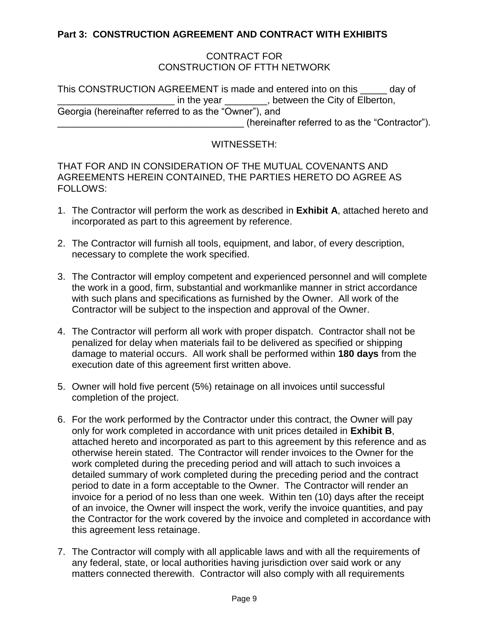# **Part 3: CONSTRUCTION AGREEMENT AND CONTRACT WITH EXHIBITS**

#### CONTRACT FOR CONSTRUCTION OF FTTH NETWORK

This CONSTRUCTION AGREEMENT is made and entered into on this \_\_\_\_\_ day of in the year endless between the City of Elberton, Georgia (hereinafter referred to as the "Owner"), and \_\_\_\_\_\_\_\_\_\_\_\_\_\_\_\_\_\_\_\_\_\_\_\_\_\_\_\_\_\_\_\_\_\_\_ (hereinafter referred to as the "Contractor").

#### WITNESSETH:

THAT FOR AND IN CONSIDERATION OF THE MUTUAL COVENANTS AND AGREEMENTS HEREIN CONTAINED, THE PARTIES HERETO DO AGREE AS FOLLOWS:

- 1. The Contractor will perform the work as described in **Exhibit A**, attached hereto and incorporated as part to this agreement by reference.
- 2. The Contractor will furnish all tools, equipment, and labor, of every description, necessary to complete the work specified.
- 3. The Contractor will employ competent and experienced personnel and will complete the work in a good, firm, substantial and workmanlike manner in strict accordance with such plans and specifications as furnished by the Owner. All work of the Contractor will be subject to the inspection and approval of the Owner.
- 4. The Contractor will perform all work with proper dispatch. Contractor shall not be penalized for delay when materials fail to be delivered as specified or shipping damage to material occurs. All work shall be performed within **180 days** from the execution date of this agreement first written above.
- 5. Owner will hold five percent (5%) retainage on all invoices until successful completion of the project.
- 6. For the work performed by the Contractor under this contract, the Owner will pay only for work completed in accordance with unit prices detailed in **Exhibit B**, attached hereto and incorporated as part to this agreement by this reference and as otherwise herein stated. The Contractor will render invoices to the Owner for the work completed during the preceding period and will attach to such invoices a detailed summary of work completed during the preceding period and the contract period to date in a form acceptable to the Owner. The Contractor will render an invoice for a period of no less than one week. Within ten (10) days after the receipt of an invoice, the Owner will inspect the work, verify the invoice quantities, and pay the Contractor for the work covered by the invoice and completed in accordance with this agreement less retainage.
- 7. The Contractor will comply with all applicable laws and with all the requirements of any federal, state, or local authorities having jurisdiction over said work or any matters connected therewith. Contractor will also comply with all requirements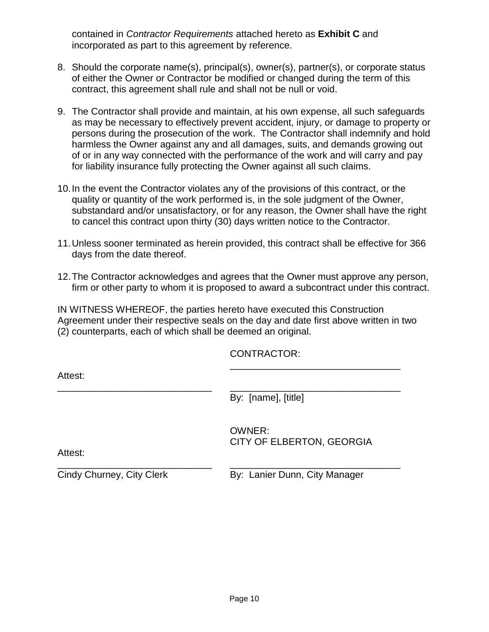contained in *Contractor Requirements* attached hereto as **Exhibit C** and incorporated as part to this agreement by reference.

- 8. Should the corporate name(s), principal(s), owner(s), partner(s), or corporate status of either the Owner or Contractor be modified or changed during the term of this contract, this agreement shall rule and shall not be null or void.
- 9. The Contractor shall provide and maintain, at his own expense, all such safeguards as may be necessary to effectively prevent accident, injury, or damage to property or persons during the prosecution of the work. The Contractor shall indemnify and hold harmless the Owner against any and all damages, suits, and demands growing out of or in any way connected with the performance of the work and will carry and pay for liability insurance fully protecting the Owner against all such claims.
- 10.In the event the Contractor violates any of the provisions of this contract, or the quality or quantity of the work performed is, in the sole judgment of the Owner, substandard and/or unsatisfactory, or for any reason, the Owner shall have the right to cancel this contract upon thirty (30) days written notice to the Contractor.
- 11.Unless sooner terminated as herein provided, this contract shall be effective for 366 days from the date thereof.
- 12.The Contractor acknowledges and agrees that the Owner must approve any person, firm or other party to whom it is proposed to award a subcontract under this contract.

IN WITNESS WHEREOF, the parties hereto have executed this Construction Agreement under their respective seals on the day and date first above written in two (2) counterparts, each of which shall be deemed an original.

\_\_\_\_\_\_\_\_\_\_\_\_\_\_\_\_\_\_\_\_\_\_\_\_\_\_\_\_\_ \_\_\_\_\_\_\_\_\_\_\_\_\_\_\_\_\_\_\_\_\_\_\_\_\_\_\_\_\_\_\_\_

CONTRACTOR:

Attest:

\_\_\_\_\_\_\_\_\_\_\_\_\_\_\_\_\_\_\_\_\_\_\_\_\_\_\_\_\_ \_\_\_\_\_\_\_\_\_\_\_\_\_\_\_\_\_\_\_\_\_\_\_\_\_\_\_\_\_\_\_\_ By: [name], [title]

> OWNER: CITY OF ELBERTON, GEORGIA

\_\_\_\_\_\_\_\_\_\_\_\_\_\_\_\_\_\_\_\_\_\_\_\_\_\_\_\_\_\_\_\_

Attest:

Cindy Churney, City Clerk By: Lanier Dunn, City Manager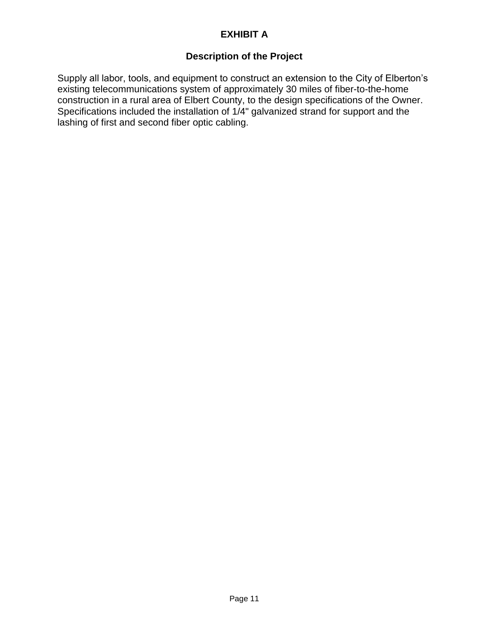# **EXHIBIT A**

# **Description of the Project**

Supply all labor, tools, and equipment to construct an extension to the City of Elberton's existing telecommunications system of approximately 30 miles of fiber-to-the-home construction in a rural area of Elbert County, to the design specifications of the Owner. Specifications included the installation of 1/4" galvanized strand for support and the lashing of first and second fiber optic cabling.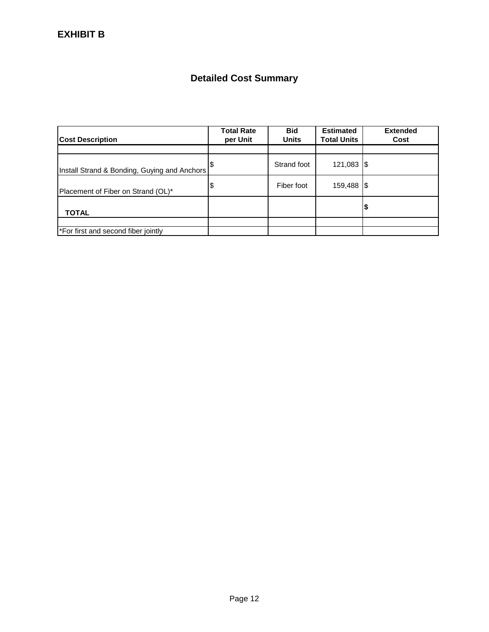# **Detailed Cost Summary**

| <b>Cost Description</b>                      | <b>Total Rate</b><br>per Unit | <b>Bid</b><br><b>Units</b> | <b>Estimated</b><br><b>Total Units</b> | <b>Extended</b><br>Cost |
|----------------------------------------------|-------------------------------|----------------------------|----------------------------------------|-------------------------|
|                                              |                               |                            |                                        |                         |
| Install Strand & Bonding, Guying and Anchors |                               | Strand foot                | 121,083   \$                           |                         |
| Placement of Fiber on Strand (OL)*           | \$                            | Fiber foot                 | 159,488   \$                           |                         |
| <b>TOTAL</b>                                 |                               |                            |                                        | 12                      |
|                                              |                               |                            |                                        |                         |
| *For first and second fiber jointly          |                               |                            |                                        |                         |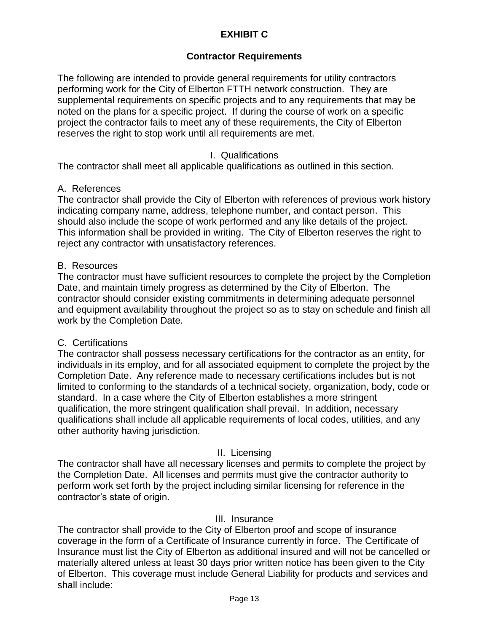# **EXHIBIT C**

## **Contractor Requirements**

The following are intended to provide general requirements for utility contractors performing work for the City of Elberton FTTH network construction. They are supplemental requirements on specific projects and to any requirements that may be noted on the plans for a specific project. If during the course of work on a specific project the contractor fails to meet any of these requirements, the City of Elberton reserves the right to stop work until all requirements are met.

#### I. Qualifications

The contractor shall meet all applicable qualifications as outlined in this section.

#### A. References

The contractor shall provide the City of Elberton with references of previous work history indicating company name, address, telephone number, and contact person. This should also include the scope of work performed and any like details of the project. This information shall be provided in writing. The City of Elberton reserves the right to reject any contractor with unsatisfactory references.

#### B. Resources

The contractor must have sufficient resources to complete the project by the Completion Date, and maintain timely progress as determined by the City of Elberton. The contractor should consider existing commitments in determining adequate personnel and equipment availability throughout the project so as to stay on schedule and finish all work by the Completion Date.

#### C. Certifications

The contractor shall possess necessary certifications for the contractor as an entity, for individuals in its employ, and for all associated equipment to complete the project by the Completion Date. Any reference made to necessary certifications includes but is not limited to conforming to the standards of a technical society, organization, body, code or standard. In a case where the City of Elberton establishes a more stringent qualification, the more stringent qualification shall prevail. In addition, necessary qualifications shall include all applicable requirements of local codes, utilities, and any other authority having jurisdiction.

#### II. Licensing

The contractor shall have all necessary licenses and permits to complete the project by the Completion Date. All licenses and permits must give the contractor authority to perform work set forth by the project including similar licensing for reference in the contractor's state of origin.

#### III. Insurance

The contractor shall provide to the City of Elberton proof and scope of insurance coverage in the form of a Certificate of Insurance currently in force. The Certificate of Insurance must list the City of Elberton as additional insured and will not be cancelled or materially altered unless at least 30 days prior written notice has been given to the City of Elberton. This coverage must include General Liability for products and services and shall include: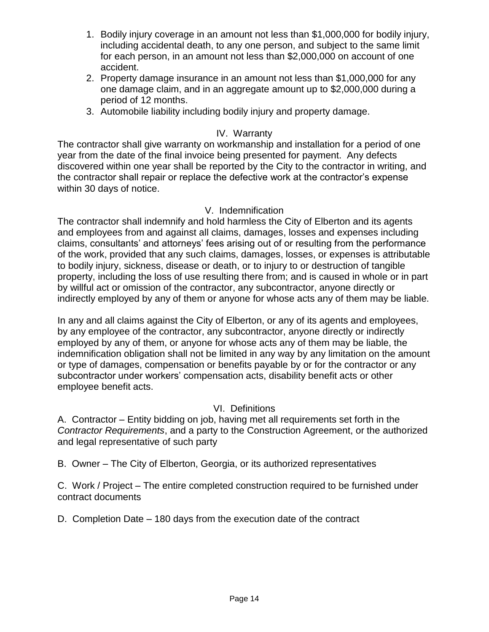- 1. Bodily injury coverage in an amount not less than \$1,000,000 for bodily injury, including accidental death, to any one person, and subject to the same limit for each person, in an amount not less than \$2,000,000 on account of one accident.
- 2. Property damage insurance in an amount not less than \$1,000,000 for any one damage claim, and in an aggregate amount up to \$2,000,000 during a period of 12 months.
- 3. Automobile liability including bodily injury and property damage.

# IV. Warranty

The contractor shall give warranty on workmanship and installation for a period of one year from the date of the final invoice being presented for payment. Any defects discovered within one year shall be reported by the City to the contractor in writing, and the contractor shall repair or replace the defective work at the contractor's expense within 30 days of notice.

# V. Indemnification

The contractor shall indemnify and hold harmless the City of Elberton and its agents and employees from and against all claims, damages, losses and expenses including claims, consultants' and attorneys' fees arising out of or resulting from the performance of the work, provided that any such claims, damages, losses, or expenses is attributable to bodily injury, sickness, disease or death, or to injury to or destruction of tangible property, including the loss of use resulting there from; and is caused in whole or in part by willful act or omission of the contractor, any subcontractor, anyone directly or indirectly employed by any of them or anyone for whose acts any of them may be liable.

In any and all claims against the City of Elberton, or any of its agents and employees, by any employee of the contractor, any subcontractor, anyone directly or indirectly employed by any of them, or anyone for whose acts any of them may be liable, the indemnification obligation shall not be limited in any way by any limitation on the amount or type of damages, compensation or benefits payable by or for the contractor or any subcontractor under workers' compensation acts, disability benefit acts or other employee benefit acts.

# VI. Definitions

A. Contractor – Entity bidding on job, having met all requirements set forth in the *Contractor Requirements*, and a party to the Construction Agreement, or the authorized and legal representative of such party

B. Owner – The City of Elberton, Georgia, or its authorized representatives

C. Work / Project – The entire completed construction required to be furnished under contract documents

D. Completion Date – 180 days from the execution date of the contract